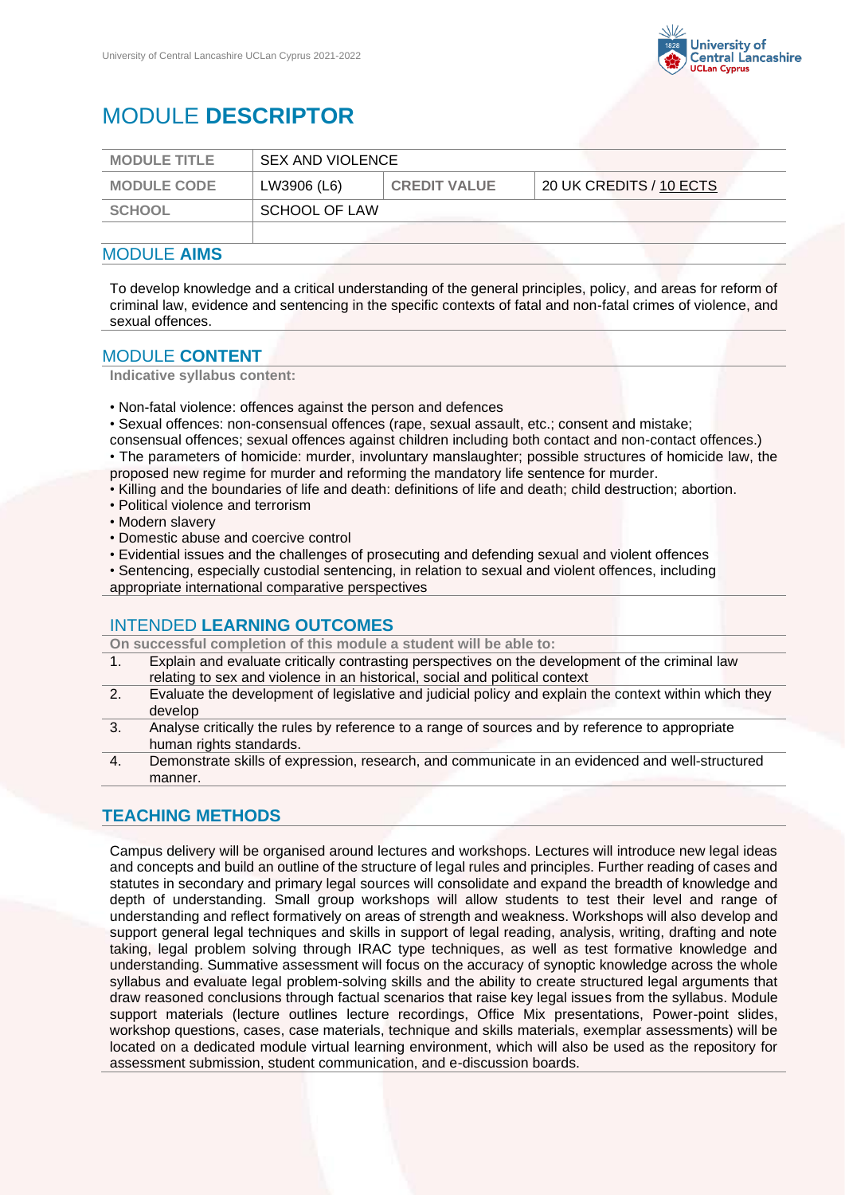

# MODULE **DESCRIPTOR**

| <b>MODULE TITLE</b> | <b>SEX AND VIOLENCE</b> |                     |                                     |
|---------------------|-------------------------|---------------------|-------------------------------------|
| <b>MODULE CODE</b>  | LW3906 (L6)             | <b>CREDIT VALUE</b> | $\frac{1}{20}$ UK CREDITS / 10 ECTS |
| SCHOOL              | SCHOOL OF LAW           |                     |                                     |
|                     |                         |                     |                                     |

### MODULE **AIMS**

To develop knowledge and a critical understanding of the general principles, policy, and areas for reform of criminal law, evidence and sentencing in the specific contexts of fatal and non-fatal crimes of violence, and sexual offences.

### MODULE **CONTENT**

**Indicative syllabus content:**

• Non-fatal violence: offences against the person and defences

• Sexual offences: non-consensual offences (rape, sexual assault, etc.; consent and mistake;

- consensual offences; sexual offences against children including both contact and non-contact offences.) • The parameters of homicide: murder, involuntary manslaughter; possible structures of homicide law, the
- proposed new regime for murder and reforming the mandatory life sentence for murder.
- Killing and the boundaries of life and death: definitions of life and death; child destruction; abortion.
- Political violence and terrorism
- Modern slavery
- Domestic abuse and coercive control
- Evidential issues and the challenges of prosecuting and defending sexual and violent offences
- Sentencing, especially custodial sentencing, in relation to sexual and violent offences, including

appropriate international comparative perspectives

## INTENDED **LEARNING OUTCOMES**

**On successful completion of this module a student will be able to:**

- 1. Explain and evaluate critically contrasting perspectives on the development of the criminal law relating to sex and violence in an historical, social and political context
- 2. Evaluate the development of legislative and judicial policy and explain the context within which they develop
- 3. Analyse critically the rules by reference to a range of sources and by reference to appropriate human rights standards.
- 4. Demonstrate skills of expression, research, and communicate in an evidenced and well-structured manner.

# **TEACHING METHODS**

Campus delivery will be organised around lectures and workshops. Lectures will introduce new legal ideas and concepts and build an outline of the structure of legal rules and principles. Further reading of cases and statutes in secondary and primary legal sources will consolidate and expand the breadth of knowledge and depth of understanding. Small group workshops will allow students to test their level and range of understanding and reflect formatively on areas of strength and weakness. Workshops will also develop and support general legal techniques and skills in support of legal reading, analysis, writing, drafting and note taking, legal problem solving through IRAC type techniques, as well as test formative knowledge and understanding. Summative assessment will focus on the accuracy of synoptic knowledge across the whole syllabus and evaluate legal problem-solving skills and the ability to create structured legal arguments that draw reasoned conclusions through factual scenarios that raise key legal issues from the syllabus. Module support materials (lecture outlines lecture recordings, Office Mix presentations, Power-point slides, workshop questions, cases, case materials, technique and skills materials, exemplar assessments) will be located on a dedicated module virtual learning environment, which will also be used as the repository for assessment submission, student communication, and e-discussion boards.